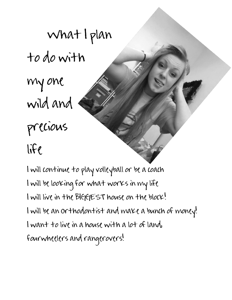~What I plan to do with my one wild and precious  $l$ 

I will continue to play volleyball or be a coach I will be looking for what works in my life I will live in the BIGGEST house on the block! I will be an orthodontist and make a bunch of money! I want to live in a house with a lot of land, fourwheelers and rangerovers!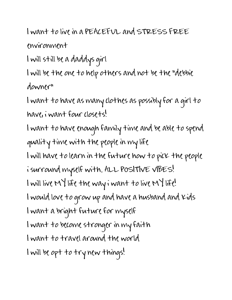I want to live in a PEACEFUL and STRESS FREE environment

I will still be a daddys girl

I will be the one to help others and not be the "debbie downer"

I want to have as many clothes as possibly for a girl to have, i want four closets!

I want to have enough family time and be able to spend quality time with the people in my life I will have to learn in the future how to pick the people i surround myself with.. ALL POSITIVE VIBES! I will live MY life the way i want to live MY life! I would love to grow up and have a husband and kids I want a bright future for myself I want to become stronger in my faith I want to travel around the world I will be opt to try new things!